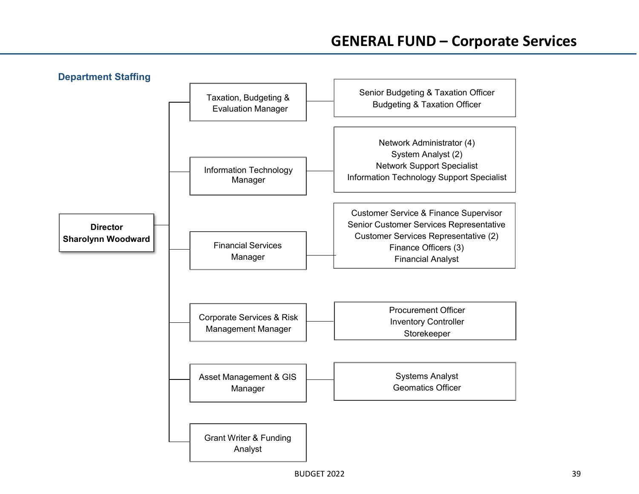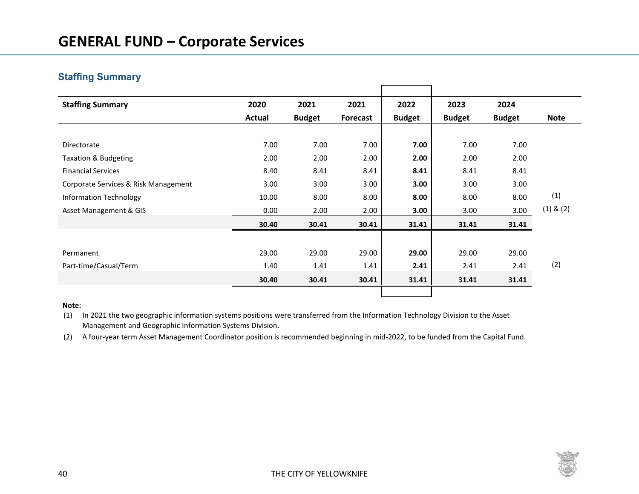# **Staffing Summary**

| <b>Staffing Summary</b>              | 2020   | 2021          | 2021            | 2022          | 2023          | 2024          |               |
|--------------------------------------|--------|---------------|-----------------|---------------|---------------|---------------|---------------|
|                                      | Actual | <b>Budget</b> | <b>Forecast</b> | <b>Budget</b> | <b>Budget</b> | <b>Budget</b> | <b>Note</b>   |
|                                      |        |               |                 |               |               |               |               |
| Directorate                          | 7.00   | 7.00          | 7.00            | 7.00          | 7.00          | 7.00          |               |
| <b>Taxation &amp; Budgeting</b>      | 2.00   | 2.00          | 2.00            | 2.00          | 2.00          | 2.00          |               |
| <b>Financial Services</b>            | 8.40   | 8.41          | 8.41            | 8.41          | 8.41          | 8.41          |               |
| Corporate Services & Risk Management | 3.00   | 3.00          | 3.00            | 3.00          | 3.00          | 3.00          |               |
| Information Technology               | 10.00  | 8.00          | 8.00            | 8.00          | 8.00          | 8.00          | (1)           |
| Asset Management & GIS               | 0.00   | 2.00          | 2.00            | 3.00          | 3.00          | 3.00          | $(1)$ & $(2)$ |
|                                      | 30.40  | 30.41         | 30.41           | 31.41         | 31.41         | 31.41         |               |
|                                      |        |               |                 |               |               |               |               |
| Permanent                            | 29.00  | 29.00         | 29.00           | 29.00         | 29.00         | 29.00         |               |
| Part-time/Casual/Term                | 1.40   | 1.41          | 1.41            | 2.41          | 2.41          | 2.41          | (2)           |
|                                      | 30.40  | 30.41         | 30.41           | 31.41         | 31.41         | 31.41         |               |
|                                      |        |               |                 |               |               |               |               |

### **Note:**

- (1) In 2021 the two geographic information systems positions were transferred from the Information Technology Division to the Asset Management and Geographic Information Systems Division.
- (2) A four-year term Asset Management Coordinator position is recommended beginning in mid-2022, to be funded from the Capital Fund.

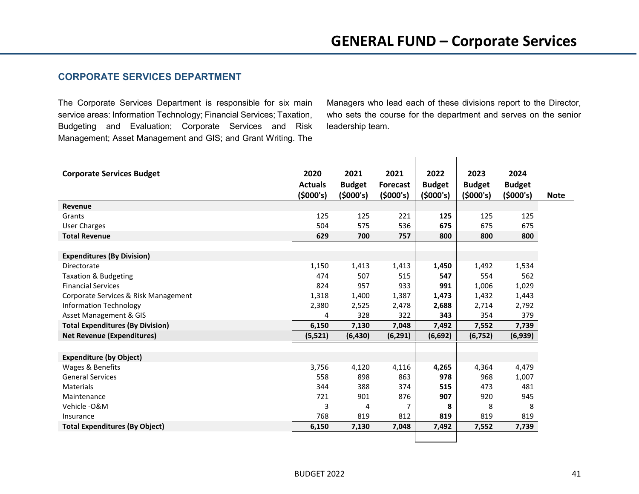## **CORPORATE SERVICES DEPARTMENT**

The Corporate Services Department is responsible for six main service areas: Information Technology; Financial Services; Taxation, Budgeting and Evaluation; Corporate Services and Risk Management; Asset Management and GIS; and Grant Writing. The

Managers who lead each of these divisions report to the Director, who sets the course for the department and serves on the senior leadership team.

| <b>Corporate Services Budget</b>        | 2020           | 2021          | 2021            | 2022          | 2023          | 2024          |             |
|-----------------------------------------|----------------|---------------|-----------------|---------------|---------------|---------------|-------------|
|                                         | <b>Actuals</b> | <b>Budget</b> | <b>Forecast</b> | <b>Budget</b> | <b>Budget</b> | <b>Budget</b> |             |
|                                         | (5000's)       | (5000's)      | (5000's)        | (5000's)      | (5000's)      | (5000's)      | <b>Note</b> |
| Revenue                                 |                |               |                 |               |               |               |             |
| Grants                                  | 125            | 125           | 221             | 125           | 125           | 125           |             |
| <b>User Charges</b>                     | 504            | 575           | 536             | 675           | 675           | 675           |             |
| <b>Total Revenue</b>                    | 629            | 700           | 757             | 800           | 800           | 800           |             |
|                                         |                |               |                 |               |               |               |             |
| <b>Expenditures (By Division)</b>       |                |               |                 |               |               |               |             |
| Directorate                             | 1,150          | 1,413         | 1,413           | 1,450         | 1,492         | 1,534         |             |
| <b>Taxation &amp; Budgeting</b>         | 474            | 507           | 515             | 547           | 554           | 562           |             |
| <b>Financial Services</b>               | 824            | 957           | 933             | 991           | 1,006         | 1,029         |             |
| Corporate Services & Risk Management    | 1,318          | 1,400         | 1,387           | 1,473         | 1,432         | 1,443         |             |
| <b>Information Technology</b>           | 2,380          | 2,525         | 2,478           | 2,688         | 2,714         | 2,792         |             |
| Asset Management & GIS                  | 4              | 328           | 322             | 343           | 354           | 379           |             |
| <b>Total Expenditures (By Division)</b> | 6,150          | 7,130         | 7,048           | 7,492         | 7,552         | 7,739         |             |
| <b>Net Revenue (Expenditures)</b>       | (5, 521)       | (6, 430)      | (6, 291)        | (6,692)       | (6, 752)      | (6,939)       |             |
|                                         |                |               |                 |               |               |               |             |
| <b>Expenditure (by Object)</b>          |                |               |                 |               |               |               |             |
| Wages & Benefits                        | 3,756          | 4,120         | 4,116           | 4,265         | 4,364         | 4,479         |             |
| <b>General Services</b>                 | 558            | 898           | 863             | 978           | 968           | 1,007         |             |
| Materials                               | 344            | 388           | 374             | 515           | 473           | 481           |             |
| Maintenance                             | 721            | 901           | 876             | 907           | 920           | 945           |             |
| Vehicle - O&M                           | 3              | 4             | $\overline{7}$  | 8             | 8             | 8             |             |
| Insurance                               | 768            | 819           | 812             | 819           | 819           | 819           |             |
| <b>Total Expenditures (By Object)</b>   | 6,150          | 7,130         | 7,048           | 7,492         | 7,552         | 7,739         |             |
|                                         |                |               |                 |               |               |               |             |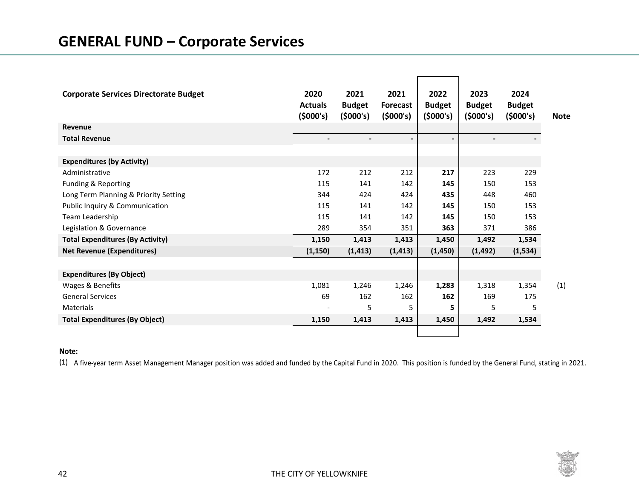# **GENERAL FUND – Corporate Services**

| <b>Corporate Services Directorate Budget</b> | 2020           | 2021           | 2021                     | 2022           | 2023                     | 2024          |             |
|----------------------------------------------|----------------|----------------|--------------------------|----------------|--------------------------|---------------|-------------|
|                                              | <b>Actuals</b> | <b>Budget</b>  | <b>Forecast</b>          | <b>Budget</b>  | <b>Budget</b>            | <b>Budget</b> |             |
|                                              | (5000's)       | (5000's)       | (5000's)                 | (5000's)       | (5000's)                 | (5000's)      | <b>Note</b> |
| Revenue                                      |                |                |                          |                |                          |               |             |
| <b>Total Revenue</b>                         | $\blacksquare$ | $\blacksquare$ | $\overline{\phantom{a}}$ | $\blacksquare$ | $\overline{\phantom{a}}$ |               |             |
|                                              |                |                |                          |                |                          |               |             |
| <b>Expenditures (by Activity)</b>            |                |                |                          |                |                          |               |             |
| Administrative                               | 172            | 212            | 212                      | 217            | 223                      | 229           |             |
| Funding & Reporting                          | 115            | 141            | 142                      | 145            | 150                      | 153           |             |
| Long Term Planning & Priority Setting        | 344            | 424            | 424                      | 435            | 448                      | 460           |             |
| Public Inquiry & Communication               | 115            | 141            | 142                      | 145            | 150                      | 153           |             |
| Team Leadership                              | 115            | 141            | 142                      | 145            | 150                      | 153           |             |
| Legislation & Governance                     | 289            | 354            | 351                      | 363            | 371                      | 386           |             |
| <b>Total Expenditures (By Activity)</b>      | 1,150          | 1,413          | 1,413                    | 1,450          | 1,492                    | 1,534         |             |
| <b>Net Revenue (Expenditures)</b>            | (1, 150)       | (1, 413)       | (1, 413)                 | (1, 450)       | (1, 492)                 | (1,534)       |             |
|                                              |                |                |                          |                |                          |               |             |
| <b>Expenditures (By Object)</b>              |                |                |                          |                |                          |               |             |
| Wages & Benefits                             | 1,081          | 1,246          | 1,246                    | 1,283          | 1,318                    | 1,354         | (1)         |
| <b>General Services</b>                      | 69             | 162            | 162                      | 162            | 169                      | 175           |             |
| <b>Materials</b>                             |                | 5              | 5                        | 5              | 5                        | 5             |             |
| <b>Total Expenditures (By Object)</b>        | 1,150          | 1,413          | 1,413                    | 1,450          | 1,492                    | 1,534         |             |
|                                              |                |                |                          |                |                          |               |             |

### **Note:**

(1) A five-year term Asset Management Manager position was added and funded by the Capital Fund in 2020. This position is funded by the General Fund, stating in 2021.

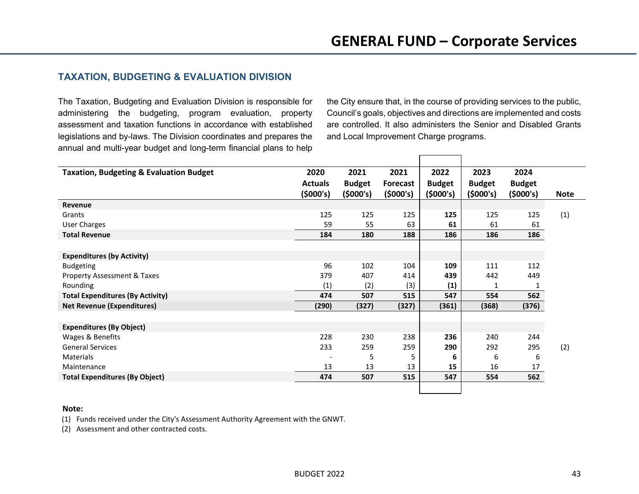## **TAXATION, BUDGETING & EVALUATION DIVISION**

The Taxation, Budgeting and Evaluation Division is responsible for administering the budgeting, program evaluation, property assessment and taxation functions in accordance with established legislations and by-laws. The Division coordinates and prepares the annual and multi-year budget and long-term financial plans to help the City ensure that, in the course of providing services to the public, Council's goals, objectives and directions are implemented and costs are controlled. It also administers the Senior and Disabled Grants and Local Improvement Charge programs.

| <b>Taxation, Budgeting &amp; Evaluation Budget</b> | 2020<br>2021   |               | 2021            | 2022          | 2023          | 2024          |             |
|----------------------------------------------------|----------------|---------------|-----------------|---------------|---------------|---------------|-------------|
|                                                    | <b>Actuals</b> | <b>Budget</b> | <b>Forecast</b> | <b>Budget</b> | <b>Budget</b> | <b>Budget</b> |             |
|                                                    | (5000's)       | (5000's)      | (5000's)        | (5000's)      | (5000's)      | (5000's)      | <b>Note</b> |
| Revenue                                            |                |               |                 |               |               |               |             |
| Grants                                             | 125            | 125           | 125             | 125           | 125           | 125           | (1)         |
| <b>User Charges</b>                                | 59             | 55            | 63              | 61            | 61            | 61            |             |
| <b>Total Revenue</b>                               | 184            | 180           | 188             | 186           | 186           | 186           |             |
|                                                    |                |               |                 |               |               |               |             |
| <b>Expenditures (by Activity)</b>                  |                |               |                 |               |               |               |             |
| <b>Budgeting</b>                                   | 96             | 102           | 104             | 109           | 111           | 112           |             |
| <b>Property Assessment &amp; Taxes</b>             | 379            | 407           | 414             | 439           | 442           | 449           |             |
| Rounding                                           | (1)            | (2)           | (3)             | (1)           | 1             | 1             |             |
| <b>Total Expenditures (By Activity)</b>            | 474            | 507           | 515             | 547           | 554           | 562           |             |
| <b>Net Revenue (Expenditures)</b>                  | (290)          | (327)         | (327)           | (361)         | (368)         | (376)         |             |
|                                                    |                |               |                 |               |               |               |             |
| <b>Expenditures (By Object)</b>                    |                |               |                 |               |               |               |             |
| Wages & Benefits                                   | 228            | 230           | 238             | 236           | 240           | 244           |             |
| <b>General Services</b>                            | 233            | 259           | 259             | 290           | 292           | 295           | (2)         |
| Materials                                          |                | 5             | 5               | 6             | 6             | 6             |             |
| Maintenance                                        | 13             | 13            | 13              | 15            | 16            | 17            |             |
| <b>Total Expenditures (By Object)</b>              | 474            | 507           | 515             | 547           | 554           | 562           |             |
|                                                    |                |               |                 |               |               |               |             |

#### **Note:**

(1) Funds received under the City's Assessment Authority Agreement with the GNWT.

(2) Assessment and other contracted costs.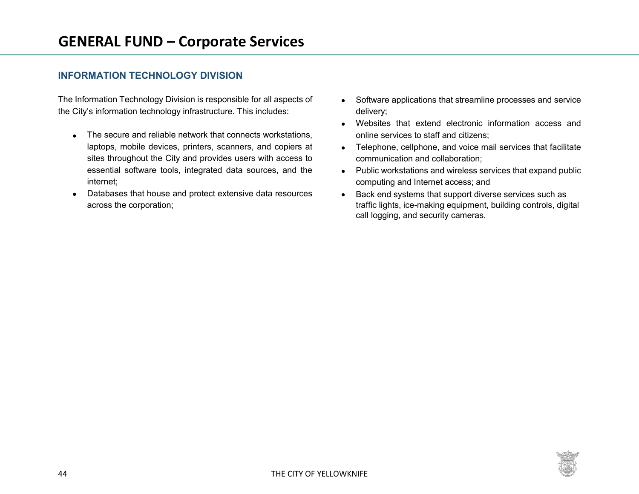## **INFORMATION TECHNOLOGY DIVISION**

The Information Technology Division is responsible for all aspects of the City's information technology infrastructure. This includes:

- The secure and reliable network that connects workstations, laptops, mobile devices, printers, scanners, and copiers at sites throughout the City and provides users with access to essential software tools, integrated data sources, and the internet;
- Databases that house and protect extensive data resources across the corporation;
- Software applications that streamline processes and service delivery;
- Websites that extend electronic information access and online services to staff and citizens;
- Telephone, cellphone, and voice mail services that facilitate communication and collaboration;
- Public workstations and wireless services that expand public computing and Internet access; and
- Back end systems that support diverse services such as traffic lights, ice-making equipment, building controls, digital call logging, and security cameras.

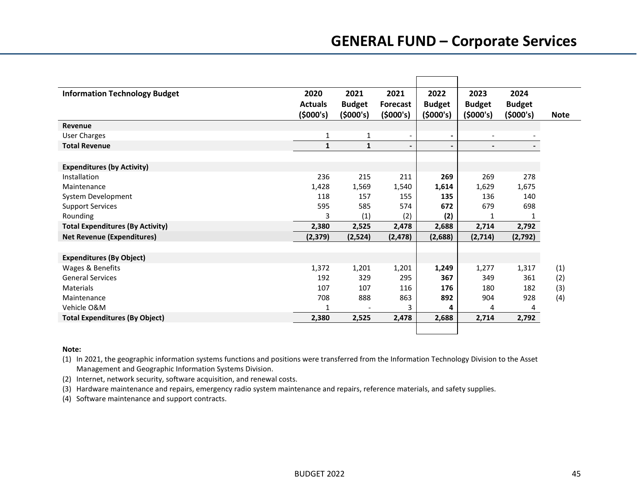# **GENERAL FUND – Corporate Services**

| <b>Information Technology Budget</b>    | 2020           | 2021          | 2021                     | 2022                     | 2023                     | 2024          |             |
|-----------------------------------------|----------------|---------------|--------------------------|--------------------------|--------------------------|---------------|-------------|
|                                         | <b>Actuals</b> | <b>Budget</b> | Forecast                 | <b>Budget</b>            | <b>Budget</b>            | <b>Budget</b> |             |
|                                         | (5000's)       | (5000's)      | (5000's)                 | (5000's)                 | (5000's)                 | (5000's)      | <b>Note</b> |
| Revenue                                 |                |               |                          |                          |                          |               |             |
| <b>User Charges</b>                     | 1              | $\mathbf{1}$  | $\overline{\phantom{a}}$ | $\overline{\phantom{a}}$ | $\overline{\phantom{a}}$ |               |             |
| <b>Total Revenue</b>                    | $\mathbf{1}$   | $\mathbf{1}$  | $\blacksquare$           | $\blacksquare$           | $\overline{\phantom{a}}$ |               |             |
|                                         |                |               |                          |                          |                          |               |             |
| <b>Expenditures (by Activity)</b>       |                |               |                          |                          |                          |               |             |
| Installation                            | 236            | 215           | 211                      | 269                      | 269                      | 278           |             |
| Maintenance                             | 1,428          | 1,569         | 1,540                    | 1,614                    | 1,629                    | 1,675         |             |
| System Development                      | 118            | 157           | 155                      | 135                      | 136                      | 140           |             |
| <b>Support Services</b>                 | 595            | 585           | 574                      | 672                      | 679                      | 698           |             |
| Rounding                                | 3              | (1)           | (2)                      | (2)                      | 1                        | 1             |             |
| <b>Total Expenditures (By Activity)</b> | 2,380          | 2,525         | 2,478                    | 2,688                    | 2,714                    | 2,792         |             |
| <b>Net Revenue (Expenditures)</b>       | (2, 379)       | (2,524)       | (2, 478)                 | (2,688)                  | (2,714)                  | (2,792)       |             |
|                                         |                |               |                          |                          |                          |               |             |
| <b>Expenditures (By Object)</b>         |                |               |                          |                          |                          |               |             |
| Wages & Benefits                        | 1,372          | 1,201         | 1,201                    | 1,249                    | 1,277                    | 1,317         | (1)         |
| <b>General Services</b>                 | 192            | 329           | 295                      | 367                      | 349                      | 361           | (2)         |
| Materials                               | 107            | 107           | 116                      | 176                      | 180                      | 182           | (3)         |
| Maintenance                             | 708            | 888           | 863                      | 892                      | 904                      | 928           | (4)         |
| Vehicle O&M                             | 1              |               | 3                        | 4                        | 4                        | 4             |             |
| <b>Total Expenditures (By Object)</b>   | 2,380          | 2,525         | 2,478                    | 2,688                    | 2,714                    | 2,792         |             |
|                                         |                |               |                          |                          |                          |               |             |

### **Note:**

(1) In 2021, the geographic information systems functions and positions were transferred from the Information Technology Division to the Asset Management and Geographic Information Systems Division.

(2) Internet, network security, software acquisition, and renewal costs.

(3) Hardware maintenance and repairs, emergency radio system maintenance and repairs, reference materials, and safety supplies.

(4) Software maintenance and support contracts.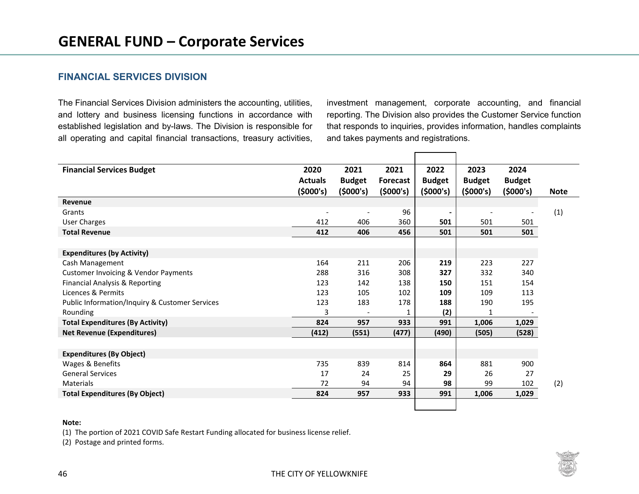### **FINANCIAL SERVICES DIVISION**

The Financial Services Division administers the accounting, utilities, and lottery and business licensing functions in accordance with established legislation and by-laws. The Division is responsible for all operating and capital financial transactions, treasury activities, investment management, corporate accounting, and financial reporting. The Division also provides the Customer Service function that responds to inquiries, provides information, handles complaints and takes payments and registrations.

| <b>Financial Services Budget</b>                | 2020                     | 2021                     | 2021            | 2022                         | 2023                     | 2024          |             |
|-------------------------------------------------|--------------------------|--------------------------|-----------------|------------------------------|--------------------------|---------------|-------------|
|                                                 | <b>Actuals</b>           | <b>Budget</b>            | <b>Forecast</b> | <b>Budget</b>                | <b>Budget</b>            | <b>Budget</b> |             |
|                                                 | (\$000's)                | (5000's)                 | (5000's)        | (5000's)                     | (5000's)                 | (5000's)      | <b>Note</b> |
| Revenue                                         |                          |                          |                 |                              |                          |               |             |
| Grants                                          | $\overline{\phantom{a}}$ | $\overline{\phantom{a}}$ | 96              | $\qquad \qquad \blacksquare$ | $\overline{\phantom{a}}$ |               | (1)         |
| User Charges                                    | 412                      | 406                      | 360             | 501                          | 501                      | 501           |             |
| <b>Total Revenue</b>                            | 412                      | 406                      | 456             | 501                          | 501                      | 501           |             |
|                                                 |                          |                          |                 |                              |                          |               |             |
| <b>Expenditures (by Activity)</b>               |                          |                          |                 |                              |                          |               |             |
| Cash Management                                 | 164                      | 211                      | 206             | 219                          | 223                      | 227           |             |
| <b>Customer Invoicing &amp; Vendor Payments</b> | 288                      | 316                      | 308             | 327                          | 332                      | 340           |             |
| Financial Analysis & Reporting                  | 123                      | 142                      | 138             | 150                          | 151                      | 154           |             |
| Licences & Permits                              | 123                      | 105                      | 102             | 109                          | 109                      | 113           |             |
| Public Information/Inquiry & Customer Services  | 123                      | 183                      | 178             | 188                          | 190                      | 195           |             |
| Rounding                                        | 3                        |                          | 1               | (2)                          | 1                        |               |             |
| <b>Total Expenditures (By Activity)</b>         | 824                      | 957                      | 933             | 991                          | 1,006                    | 1,029         |             |
| <b>Net Revenue (Expenditures)</b>               | (412)                    | (551)                    | (477)           | (490)                        | (505)                    | (528)         |             |
|                                                 |                          |                          |                 |                              |                          |               |             |
| <b>Expenditures (By Object)</b>                 |                          |                          |                 |                              |                          |               |             |
| Wages & Benefits                                | 735                      | 839                      | 814             | 864                          | 881                      | 900           |             |
| <b>General Services</b>                         | 17                       | 24                       | 25              | 29                           | 26                       | 27            |             |
| <b>Materials</b>                                | 72                       | 94                       | 94              | 98                           | 99                       | 102           | (2)         |
| <b>Total Expenditures (By Object)</b>           | 824                      | 957                      | 933             | 991                          | 1,006                    | 1,029         |             |
|                                                 |                          |                          |                 |                              |                          |               |             |

### **Note:**

(1) The portion of 2021 COVID Safe Restart Funding allocated for business license relief.

(2) Postage and printed forms.

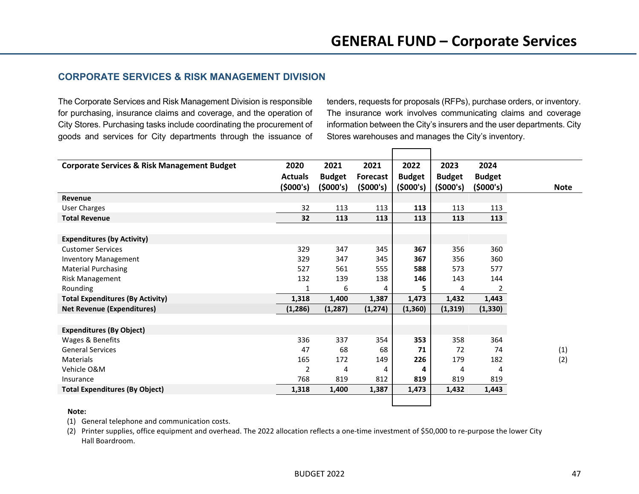## **CORPORATE SERVICES & RISK MANAGEMENT DIVISION**

The Corporate Services and Risk Management Division is responsible for purchasing, insurance claims and coverage, and the operation of City Stores. Purchasing tasks include coordinating the procurement of goods and services for City departments through the issuance of tenders, requests for proposals (RFPs), purchase orders, or inventory. The insurance work involves communicating claims and coverage information between the City's insurers and the user departments. City Stores warehouses and manages the City's inventory.

| <b>Corporate Services &amp; Risk Management Budget</b> | 2020           | 2021          | 2021            | 2022          | 2023          | 2024          |  |  |  |  |  |             |     |  |
|--------------------------------------------------------|----------------|---------------|-----------------|---------------|---------------|---------------|--|--|--|--|--|-------------|-----|--|
|                                                        | <b>Actuals</b> | <b>Budget</b> | <b>Forecast</b> | <b>Budget</b> | <b>Budget</b> | <b>Budget</b> |  |  |  |  |  |             |     |  |
|                                                        | (5000's)       | (5000's)      | (5000's)        | (5000's)      | (5000's)      | (5000's)      |  |  |  |  |  | <b>Note</b> |     |  |
| Revenue                                                |                |               |                 |               |               |               |  |  |  |  |  |             |     |  |
| <b>User Charges</b>                                    | 32             | 113           | 113             | 113           | 113           | 113           |  |  |  |  |  |             |     |  |
| <b>Total Revenue</b>                                   | 32             | 113           | 113             | 113           | 113           | 113           |  |  |  |  |  |             |     |  |
|                                                        |                |               |                 |               |               |               |  |  |  |  |  |             |     |  |
| <b>Expenditures (by Activity)</b>                      |                |               |                 |               |               |               |  |  |  |  |  |             |     |  |
| <b>Customer Services</b>                               | 329            | 347           | 345             | 367           | 356           | 360           |  |  |  |  |  |             |     |  |
| <b>Inventory Management</b>                            | 329            | 347           | 345             | 367           | 356           | 360           |  |  |  |  |  |             |     |  |
| <b>Material Purchasing</b>                             | 527            | 561           | 555             | 588           | 573           | 577           |  |  |  |  |  |             |     |  |
| Risk Management                                        | 132            | 139           | 138             | 146           | 143           | 144           |  |  |  |  |  |             |     |  |
| Rounding                                               |                | 6             | 4               | 5             | 4             | 2             |  |  |  |  |  |             |     |  |
| <b>Total Expenditures (By Activity)</b>                | 1,318          | 1,400         | 1,387           | 1,473         | 1,432         | 1,443         |  |  |  |  |  |             |     |  |
| <b>Net Revenue (Expenditures)</b>                      | (1, 286)       | (1, 287)      | (1, 274)        | (1, 360)      | (1, 319)      | (1, 330)      |  |  |  |  |  |             |     |  |
|                                                        |                |               |                 |               |               |               |  |  |  |  |  |             |     |  |
| <b>Expenditures (By Object)</b>                        |                |               |                 |               |               |               |  |  |  |  |  |             |     |  |
| Wages & Benefits                                       | 336            | 337           | 354             | 353           | 358           | 364           |  |  |  |  |  |             |     |  |
| <b>General Services</b>                                | 47             | 68            | 68              | 71            | 72            | 74            |  |  |  |  |  |             | (1) |  |
| <b>Materials</b>                                       | 165            | 172           | 149             | 226           | 179           | 182           |  |  |  |  |  |             | (2) |  |
| Vehicle O&M                                            | 2              | 4             | 4               | 4             | 4             | 4             |  |  |  |  |  |             |     |  |
| Insurance                                              | 768            | 819           | 812             | 819           | 819           | 819           |  |  |  |  |  |             |     |  |
| <b>Total Expenditures (By Object)</b>                  | 1,318          | 1,400         | 1,387           | 1,473         | 1,432         | 1,443         |  |  |  |  |  |             |     |  |
|                                                        |                |               |                 |               |               |               |  |  |  |  |  |             |     |  |

### **Note:**

(1) General telephone and communication costs.

(2) Printer supplies, office equipment and overhead. The 2022 allocation reflects a one-time investment of \$50,000 to re-purpose the lower City Hall Boardroom.